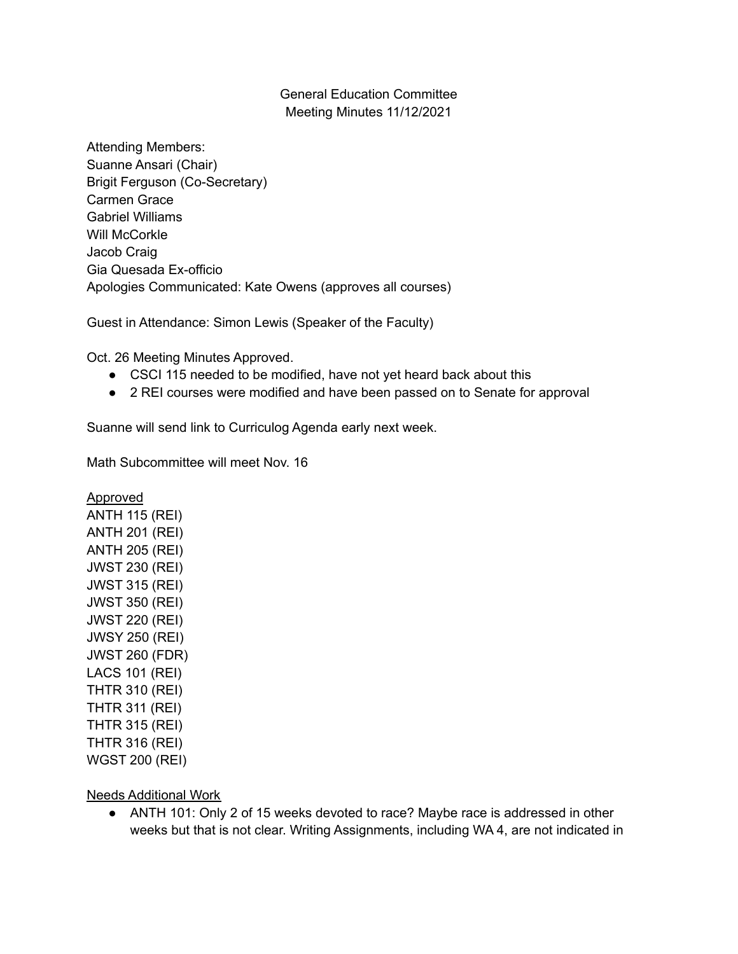## General Education Committee Meeting Minutes 11/12/2021

Attending Members: Suanne Ansari (Chair) Brigit Ferguson (Co-Secretary) Carmen Grace Gabriel Williams Will McCorkle Jacob Craig Gia Quesada Ex-officio Apologies Communicated: Kate Owens (approves all courses)

Guest in Attendance: Simon Lewis (Speaker of the Faculty)

Oct. 26 Meeting Minutes Approved.

- CSCI 115 needed to be modified, have not yet heard back about this
- 2 REI courses were modified and have been passed on to Senate for approval

Suanne will send link to Curriculog Agenda early next week.

Math Subcommittee will meet Nov. 16

Approved ANTH 115 (REI) ANTH 201 (REI) ANTH 205 (REI) JWST 230 (REI) JWST 315 (REI) JWST 350 (REI) JWST 220 (REI) JWSY 250 (REI) JWST 260 (FDR) LACS 101 (REI) THTR 310 (REI) THTR 311 (REI) THTR 315 (REI) THTR 316 (REI) WGST 200 (REI)

Needs Additional Work

● ANTH 101: Only 2 of 15 weeks devoted to race? Maybe race is addressed in other weeks but that is not clear. Writing Assignments, including WA 4, are not indicated in